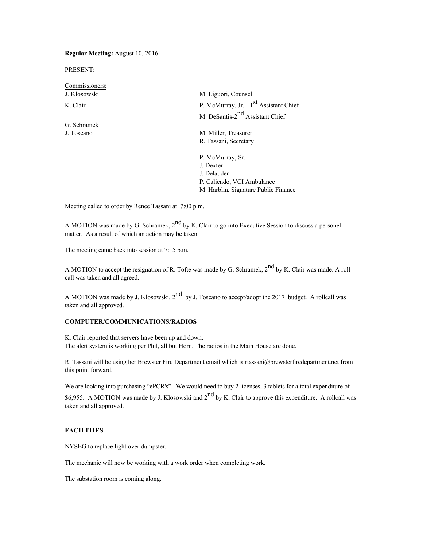**Regular Meeting:** August 10, 2016

PRESENT:

Commissioners: J. Klosowski M. Liguori, Counsel K. Clair P. McMurray, Jr. - 1<sup>st</sup> Assistant Chief M. DeSantis-2<sup>nd</sup> Assistant Chief G. Schramek J. Toscano M. Miller, Treasurer R. Tassani, Secretary P. McMurray, Sr. J. Dexter J. Delauder

Meeting called to order by Renee Tassani at 7:00 p.m.

A MOTION was made by G. Schramek,  $2<sup>nd</sup>$  by K. Clair to go into Executive Session to discuss a personel matter. As a result of which an action may be taken.

P. Caliendo, VCI Ambulance M. Harblin, Signature Public Finance

The meeting came back into session at 7:15 p.m.

A MOTION to accept the resignation of R. Tofte was made by G. Schramek,  $2^{nd}$  by K. Clair was made. A roll call was taken and all agreed.

A MOTION was made by J. Klosowski,  $2^{nd}$  by J. Toscano to accept/adopt the 2017 budget. A rollcall was taken and all approved.

### **COMPUTER/COMMUNICATIONS/RADIOS**

K. Clair reported that servers have been up and down. The alert system is working per Phil, all but Horn. The radios in the Main House are done.

R. Tassani will be using her Brewster Fire Department email which is [rtassani@brewsterfiredepartment.net](mailto:rtassani@brewsterfiredepartment.net) from this point forward.

We are looking into purchasing "ePCR's". We would need to buy 2 licenses, 3 tablets for a total expenditure of \$6,955. A MOTION was made by J. Klosowski and 2<sup>nd</sup> by K. Clair to approve this expenditure. A rollcall was taken and all approved.

### **FACILITIES**

NYSEG to replace light over dumpster.

The mechanic will now be working with a work order when completing work.

The substation room is coming along.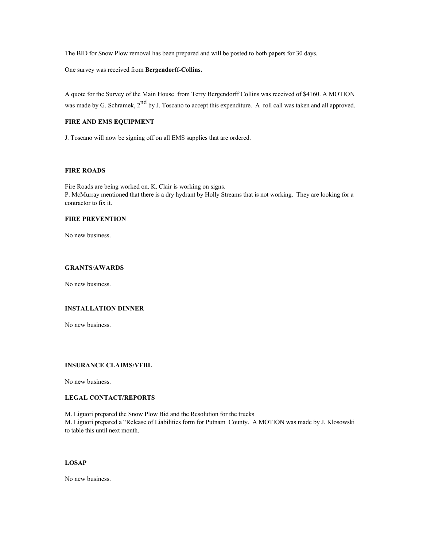The BID for Snow Plow removal has been prepared and will be posted to both papers for 30 days.

One survey was received from **Bergendorff-Collins.**

A quote for the Survey of the Main House from Terry Bergendorff Collins was received of \$4160. A MOTION was made by G. Schramek,  $2^{nd}$  by J. Toscano to accept this expenditure. A roll call was taken and all approved.

# **FIRE AND EMS EQUIPMENT**

J. Toscano will now be signing off on all EMS supplies that are ordered.

# **FIRE ROADS**

Fire Roads are being worked on. K. Clair is working on signs. P. McMurray mentioned that there is a dry hydrant by Holly Streams that is not working. They are looking for a contractor to fix it.

### **FIRE PREVENTION**

No new business.

#### **GRANTS**/**AWARDS**

No new business.

# **INSTALLATION DINNER**

No new business.

### **INSURANCE CLAIMS/VFBL**

No new business.

# **LEGAL CONTACT/REPORTS**

M. Liguori prepared the Snow Plow Bid and the Resolution for the trucks M. Liguori prepared a "Release of Liabilities form for Putnam County. A MOTION was made by J. Klosowski to table this until next month.

## **LOSAP**

No new business.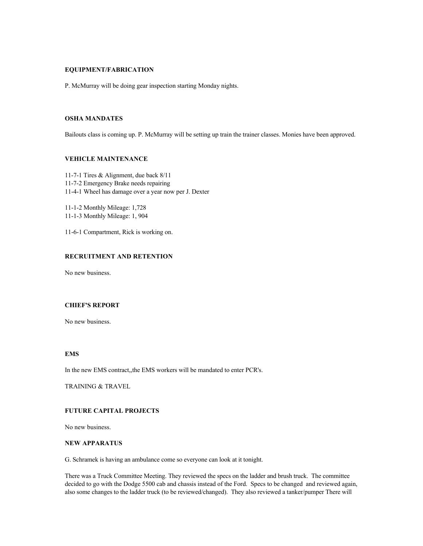## **EQUIPMENT/FABRICATION**

P. McMurray will be doing gear inspection starting Monday nights.

### **OSHA MANDATES**

Bailouts class is coming up. P. McMurray will be setting up train the trainer classes. Monies have been approved.

# **VEHICLE MAINTENANCE**

11-7-1 Tires & Alignment, due back 8/11 11-7-2 Emergency Brake needs repairing 11-4-1 Wheel has damage over a year now per J. Dexter

11-1-2 Monthly Mileage: 1,728 11-1-3 Monthly Mileage: 1, 904

11-6-1 Compartment, Rick is working on.

# **RECRUITMENT AND RETENTION**

No new business.

### **CHIEF'S REPORT**

No new business.

# **EMS**

In the new EMS contract,,the EMS workers will be mandated to enter PCR's.

TRAINING & TRAVEL

# **FUTURE CAPITAL PROJECTS**

No new business.

#### **NEW APPARATUS**

G. Schramek is having an ambulance come so everyone can look at it tonight.

There was a Truck Committee Meeting. They reviewed the specs on the ladder and brush truck. The committee decided to go with the Dodge 5500 cab and chassis instead of the Ford. Specs to be changed and reviewed again, also some changes to the ladder truck (to be reviewed/changed). They also reviewed a tanker/pumper There will